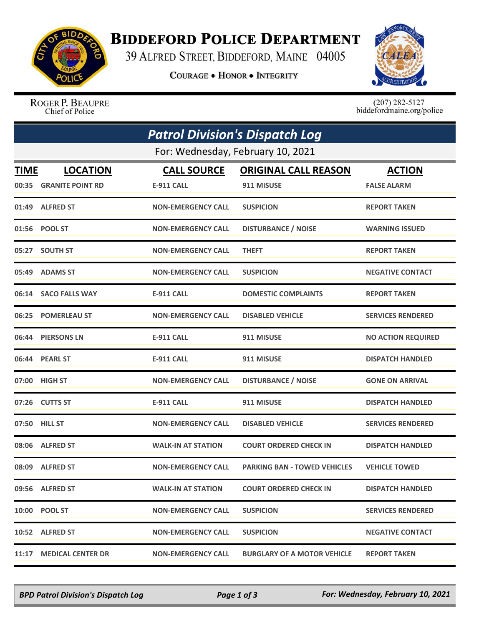

## **BIDDEFORD POLICE DEPARTMENT**

39 ALFRED STREET, BIDDEFORD, MAINE 04005

**COURAGE . HONOR . INTEGRITY** 



ROGER P. BEAUPRE Chief of Police

 $(207)$  282-5127<br>biddefordmaine.org/police

|             | <b>Patrol Division's Dispatch Log</b> |                           |                                     |                           |  |  |  |  |
|-------------|---------------------------------------|---------------------------|-------------------------------------|---------------------------|--|--|--|--|
|             | For: Wednesday, February 10, 2021     |                           |                                     |                           |  |  |  |  |
| <b>TIME</b> | <b>LOCATION</b>                       | <b>CALL SOURCE</b>        | <b>ORIGINAL CALL REASON</b>         | <b>ACTION</b>             |  |  |  |  |
| 00:35       | <b>GRANITE POINT RD</b>               | <b>E-911 CALL</b>         | 911 MISUSE                          | <b>FALSE ALARM</b>        |  |  |  |  |
|             | 01:49 ALFRED ST                       | <b>NON-EMERGENCY CALL</b> | <b>SUSPICION</b>                    | <b>REPORT TAKEN</b>       |  |  |  |  |
|             | 01:56 POOL ST                         | <b>NON-EMERGENCY CALL</b> | <b>DISTURBANCE / NOISE</b>          | <b>WARNING ISSUED</b>     |  |  |  |  |
|             | 05:27 SOUTH ST                        | <b>NON-EMERGENCY CALL</b> | <b>THEFT</b>                        | <b>REPORT TAKEN</b>       |  |  |  |  |
|             | 05:49 ADAMS ST                        | <b>NON-EMERGENCY CALL</b> | <b>SUSPICION</b>                    | <b>NEGATIVE CONTACT</b>   |  |  |  |  |
| 06:14       | <b>SACO FALLS WAY</b>                 | <b>E-911 CALL</b>         | <b>DOMESTIC COMPLAINTS</b>          | <b>REPORT TAKEN</b>       |  |  |  |  |
|             | 06:25 POMERLEAU ST                    | <b>NON-EMERGENCY CALL</b> | <b>DISABLED VEHICLE</b>             | <b>SERVICES RENDERED</b>  |  |  |  |  |
|             | 06:44 PIERSONS LN                     | <b>E-911 CALL</b>         | 911 MISUSE                          | <b>NO ACTION REQUIRED</b> |  |  |  |  |
|             | 06:44 PEARL ST                        | <b>E-911 CALL</b>         | 911 MISUSE                          | <b>DISPATCH HANDLED</b>   |  |  |  |  |
| 07:00       | <b>HIGH ST</b>                        | <b>NON-EMERGENCY CALL</b> | <b>DISTURBANCE / NOISE</b>          | <b>GONE ON ARRIVAL</b>    |  |  |  |  |
|             | 07:26 CUTTS ST                        | <b>E-911 CALL</b>         | 911 MISUSE                          | <b>DISPATCH HANDLED</b>   |  |  |  |  |
|             | 07:50 HILL ST                         | <b>NON-EMERGENCY CALL</b> | <b>DISABLED VEHICLE</b>             | <b>SERVICES RENDERED</b>  |  |  |  |  |
| 08:06       | <b>ALFRED ST</b>                      | <b>WALK-IN AT STATION</b> | <b>COURT ORDERED CHECK IN</b>       | <b>DISPATCH HANDLED</b>   |  |  |  |  |
|             | 08:09 ALFRED ST                       | <b>NON-EMERGENCY CALL</b> | <b>PARKING BAN - TOWED VEHICLES</b> | <b>VEHICLE TOWED</b>      |  |  |  |  |
|             | 09:56 ALFRED ST                       | <b>WALK-IN AT STATION</b> | <b>COURT ORDERED CHECK IN</b>       | <b>DISPATCH HANDLED</b>   |  |  |  |  |
|             | 10:00 POOL ST                         | <b>NON-EMERGENCY CALL</b> | <b>SUSPICION</b>                    | <b>SERVICES RENDERED</b>  |  |  |  |  |
|             | 10:52 ALFRED ST                       | <b>NON-EMERGENCY CALL</b> | <b>SUSPICION</b>                    | <b>NEGATIVE CONTACT</b>   |  |  |  |  |
| 11:17       | <b>MEDICAL CENTER DR</b>              | <b>NON-EMERGENCY CALL</b> | <b>BURGLARY OF A MOTOR VEHICLE</b>  | <b>REPORT TAKEN</b>       |  |  |  |  |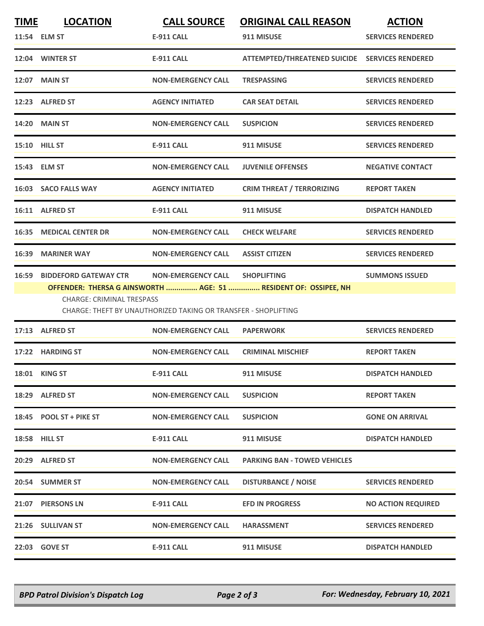| <b>TIME</b>                                                                                                                                                           | <b>LOCATION</b><br>11:54 ELM ST | <b>CALL SOURCE</b><br><b>E-911 CALL</b> | <b>ORIGINAL CALL REASON</b><br>911 MISUSE | <b>ACTION</b><br><b>SERVICES RENDERED</b> |  |
|-----------------------------------------------------------------------------------------------------------------------------------------------------------------------|---------------------------------|-----------------------------------------|-------------------------------------------|-------------------------------------------|--|
|                                                                                                                                                                       | 12:04 WINTER ST                 | <b>E-911 CALL</b>                       | <b>ATTEMPTED/THREATENED SUICIDE</b>       | <b>SERVICES RENDERED</b>                  |  |
|                                                                                                                                                                       | 12:07 MAIN ST                   | <b>NON-EMERGENCY CALL</b>               | <b>TRESPASSING</b>                        | <b>SERVICES RENDERED</b>                  |  |
|                                                                                                                                                                       | 12:23 ALFRED ST                 | <b>AGENCY INITIATED</b>                 | <b>CAR SEAT DETAIL</b>                    | <b>SERVICES RENDERED</b>                  |  |
|                                                                                                                                                                       | <b>14:20 MAIN ST</b>            | <b>NON-EMERGENCY CALL</b>               | <b>SUSPICION</b>                          | <b>SERVICES RENDERED</b>                  |  |
|                                                                                                                                                                       | <b>15:10 HILL ST</b>            | <b>E-911 CALL</b>                       | 911 MISUSE                                | <b>SERVICES RENDERED</b>                  |  |
|                                                                                                                                                                       | 15:43 ELM ST                    | <b>NON-EMERGENCY CALL</b>               | <b>JUVENILE OFFENSES</b>                  | <b>NEGATIVE CONTACT</b>                   |  |
|                                                                                                                                                                       | 16:03 SACO FALLS WAY            | <b>AGENCY INITIATED</b>                 | <b>CRIM THREAT / TERRORIZING</b>          | <b>REPORT TAKEN</b>                       |  |
|                                                                                                                                                                       | 16:11 ALFRED ST                 | <b>E-911 CALL</b>                       | 911 MISUSE                                | <b>DISPATCH HANDLED</b>                   |  |
| 16:35                                                                                                                                                                 | <b>MEDICAL CENTER DR</b>        | <b>NON-EMERGENCY CALL</b>               | <b>CHECK WELFARE</b>                      | <b>SERVICES RENDERED</b>                  |  |
|                                                                                                                                                                       | 16:39 MARINER WAY               | <b>NON-EMERGENCY CALL</b>               | <b>ASSIST CITIZEN</b>                     | <b>SERVICES RENDERED</b>                  |  |
| 16:59                                                                                                                                                                 | <b>BIDDEFORD GATEWAY CTR</b>    | <b>NON-EMERGENCY CALL</b>               | <b>SHOPLIFTING</b>                        | <b>SUMMONS ISSUED</b>                     |  |
| OFFENDER: THERSA G AINSWORTH  AGE: 51  RESIDENT OF: OSSIPEE, NH<br><b>CHARGE: CRIMINAL TRESPASS</b><br>CHARGE: THEFT BY UNAUTHORIZED TAKING OR TRANSFER - SHOPLIFTING |                                 |                                         |                                           |                                           |  |
|                                                                                                                                                                       | 17:13 ALFRED ST                 | <b>NON-EMERGENCY CALL</b>               | <b>PAPERWORK</b>                          | <b>SERVICES RENDERED</b>                  |  |
|                                                                                                                                                                       | 17:22 HARDING ST                | <b>NON-EMERGENCY CALL</b>               | <b>CRIMINAL MISCHIEF</b>                  | <b>REPORT TAKEN</b>                       |  |
|                                                                                                                                                                       | 18:01 KING ST                   | E-911 CALL                              | 911 MISUSE                                | <b>DISPATCH HANDLED</b>                   |  |
|                                                                                                                                                                       | 18:29 ALFRED ST                 | <b>NON-EMERGENCY CALL</b>               | <b>SUSPICION</b>                          | <b>REPORT TAKEN</b>                       |  |
|                                                                                                                                                                       | 18:45 POOL ST + PIKE ST         | <b>NON-EMERGENCY CALL</b>               | <b>SUSPICION</b>                          | <b>GONE ON ARRIVAL</b>                    |  |
|                                                                                                                                                                       | <b>18:58 HILL ST</b>            | E-911 CALL                              | 911 MISUSE                                | <b>DISPATCH HANDLED</b>                   |  |
|                                                                                                                                                                       | 20:29 ALFRED ST                 | <b>NON-EMERGENCY CALL</b>               | <b>PARKING BAN - TOWED VEHICLES</b>       |                                           |  |
|                                                                                                                                                                       | 20:54 SUMMER ST                 | <b>NON-EMERGENCY CALL</b>               | <b>DISTURBANCE / NOISE</b>                | <b>SERVICES RENDERED</b>                  |  |
|                                                                                                                                                                       | 21:07 PIERSONS LN               | E-911 CALL                              | <b>EFD IN PROGRESS</b>                    | <b>NO ACTION REQUIRED</b>                 |  |
|                                                                                                                                                                       | 21:26 SULLIVAN ST               | <b>NON-EMERGENCY CALL</b>               | <b>HARASSMENT</b>                         | <b>SERVICES RENDERED</b>                  |  |
|                                                                                                                                                                       | 22:03 GOVE ST                   | E-911 CALL                              | 911 MISUSE                                | <b>DISPATCH HANDLED</b>                   |  |

*BPD Patrol Division's Dispatch Log Page 2 of 3 For: Wednesday, February 10, 2021*